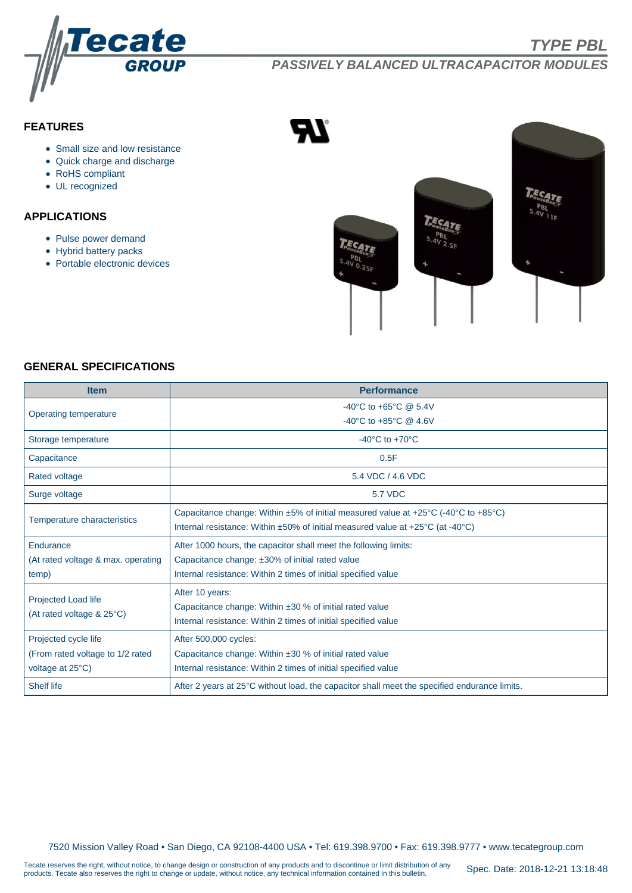

# **PASSIVELY BALANCED ULTRACAPACITOR MODULES**

# **FEATURES**

- Small size and low resistance
- Quick charge and discharge
- RoHS compliant
- UL recognized

# **APPLICATIONS**

- Pulse power demand
- Hybrid battery packs
- Portable electronic devices



#### **GENERAL SPECIFICATIONS**

| <b>Item</b>                                                                           | <b>Performance</b>                                                                           |  |  |  |  |  |  |  |
|---------------------------------------------------------------------------------------|----------------------------------------------------------------------------------------------|--|--|--|--|--|--|--|
| Operating temperature                                                                 | -40°C to +65°C @ 5.4V                                                                        |  |  |  |  |  |  |  |
|                                                                                       | -40°C to +85°C @ 4.6V                                                                        |  |  |  |  |  |  |  |
| Storage temperature                                                                   | -40 $^{\circ}$ C to +70 $^{\circ}$ C                                                         |  |  |  |  |  |  |  |
| Capacitance                                                                           | 0.5F                                                                                         |  |  |  |  |  |  |  |
| Rated voltage                                                                         | 5.4 VDC / 4.6 VDC                                                                            |  |  |  |  |  |  |  |
| Surge voltage                                                                         | <b>5.7 VDC</b>                                                                               |  |  |  |  |  |  |  |
| <b>Temperature characteristics</b>                                                    | Capacitance change: Within $\pm 5\%$ of initial measured value at +25°C (-40°C to +85°C)     |  |  |  |  |  |  |  |
|                                                                                       | Internal resistance: Within ±50% of initial measured value at +25°C (at -40°C)               |  |  |  |  |  |  |  |
| Endurance                                                                             | After 1000 hours, the capacitor shall meet the following limits:                             |  |  |  |  |  |  |  |
| (At rated voltage & max. operating<br>Capacitance change: ±30% of initial rated value |                                                                                              |  |  |  |  |  |  |  |
| temp)                                                                                 | Internal resistance: Within 2 times of initial specified value                               |  |  |  |  |  |  |  |
| <b>Projected Load life</b><br>(At rated voltage & 25°C)                               | After 10 years:                                                                              |  |  |  |  |  |  |  |
|                                                                                       | Capacitance change: Within ±30 % of initial rated value                                      |  |  |  |  |  |  |  |
|                                                                                       | Internal resistance: Within 2 times of initial specified value                               |  |  |  |  |  |  |  |
| Projected cycle life                                                                  | After 500,000 cycles:                                                                        |  |  |  |  |  |  |  |
| (From rated voltage to 1/2 rated                                                      | Capacitance change: Within ±30 % of initial rated value                                      |  |  |  |  |  |  |  |
| voltage at 25°C)                                                                      | Internal resistance: Within 2 times of initial specified value                               |  |  |  |  |  |  |  |
| <b>Shelf life</b>                                                                     | After 2 years at 25°C without load, the capacitor shall meet the specified endurance limits. |  |  |  |  |  |  |  |